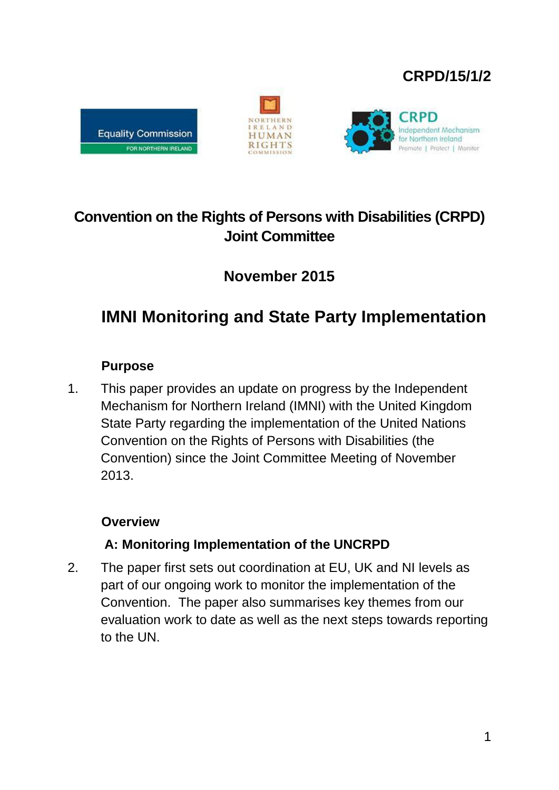## **CRPD/15/1/2**







## **Convention on the Rights of Persons with Disabilities (CRPD) Joint Committee**

## **November 2015**

# **IMNI Monitoring and State Party Implementation**

## **Purpose**

1. This paper provides an update on progress by the Independent Mechanism for Northern Ireland (IMNI) with the United Kingdom State Party regarding the implementation of the United Nations Convention on the Rights of Persons with Disabilities (the Convention) since the Joint Committee Meeting of November 2013.

## **Overview**

## **A: Monitoring Implementation of the UNCRPD**

2. The paper first sets out coordination at EU, UK and NI levels as part of our ongoing work to monitor the implementation of the Convention. The paper also summarises key themes from our evaluation work to date as well as the next steps towards reporting to the UN.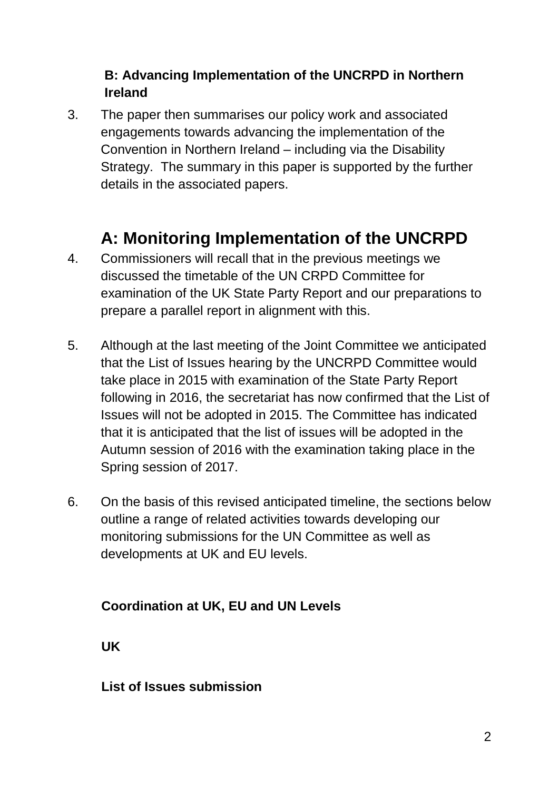## **B: Advancing Implementation of the UNCRPD in Northern Ireland**

3. The paper then summarises our policy work and associated engagements towards advancing the implementation of the Convention in Northern Ireland – including via the Disability Strategy. The summary in this paper is supported by the further details in the associated papers.

## **A: Monitoring Implementation of the UNCRPD**

- 4. Commissioners will recall that in the previous meetings we discussed the timetable of the UN CRPD Committee for examination of the UK State Party Report and our preparations to prepare a parallel report in alignment with this.
- 5. Although at the last meeting of the Joint Committee we anticipated that the List of Issues hearing by the UNCRPD Committee would take place in 2015 with examination of the State Party Report following in 2016, the secretariat has now confirmed that the List of Issues will not be adopted in 2015. The Committee has indicated that it is anticipated that the list of issues will be adopted in the Autumn session of 2016 with the examination taking place in the Spring session of 2017.
- 6. On the basis of this revised anticipated timeline, the sections below outline a range of related activities towards developing our monitoring submissions for the UN Committee as well as developments at UK and EU levels.

## **Coordination at UK, EU and UN Levels**

**UK**

#### **List of Issues submission**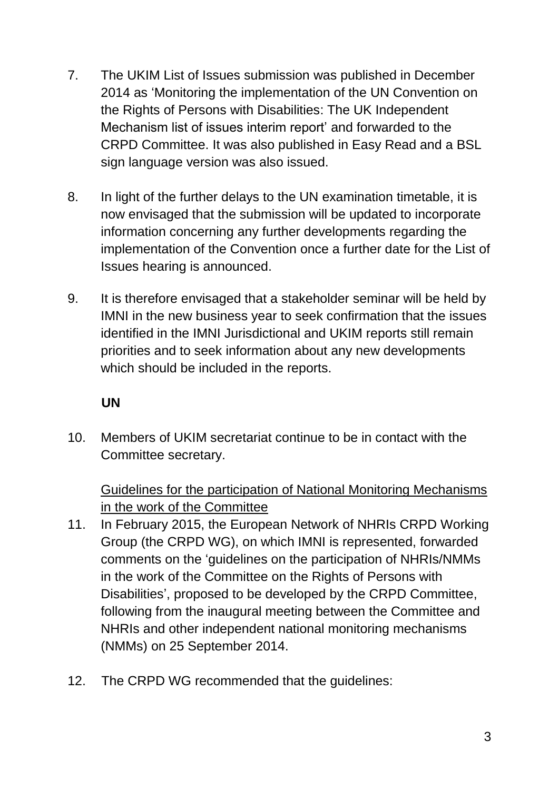- 7. The UKIM List of Issues submission was published in December 2014 as 'Monitoring the implementation of the UN Convention on the Rights of Persons with Disabilities: The UK Independent Mechanism list of issues interim report' and forwarded to the CRPD Committee. It was also published in Easy Read and a BSL sign language version was also issued.
- 8. In light of the further delays to the UN examination timetable, it is now envisaged that the submission will be updated to incorporate information concerning any further developments regarding the implementation of the Convention once a further date for the List of Issues hearing is announced.
- 9. It is therefore envisaged that a stakeholder seminar will be held by IMNI in the new business year to seek confirmation that the issues identified in the IMNI Jurisdictional and UKIM reports still remain priorities and to seek information about any new developments which should be included in the reports.

## **UN**

10. Members of UKIM secretariat continue to be in contact with the Committee secretary.

## Guidelines for the participation of National Monitoring Mechanisms in the work of the Committee

- 11. In February 2015, the European Network of NHRIs CRPD Working Group (the CRPD WG), on which IMNI is represented, forwarded comments on the 'guidelines on the participation of NHRIs/NMMs in the work of the Committee on the Rights of Persons with Disabilities', proposed to be developed by the CRPD Committee, following from the inaugural meeting between the Committee and NHRIs and other independent national monitoring mechanisms (NMMs) on 25 September 2014.
- 12. The CRPD WG recommended that the guidelines: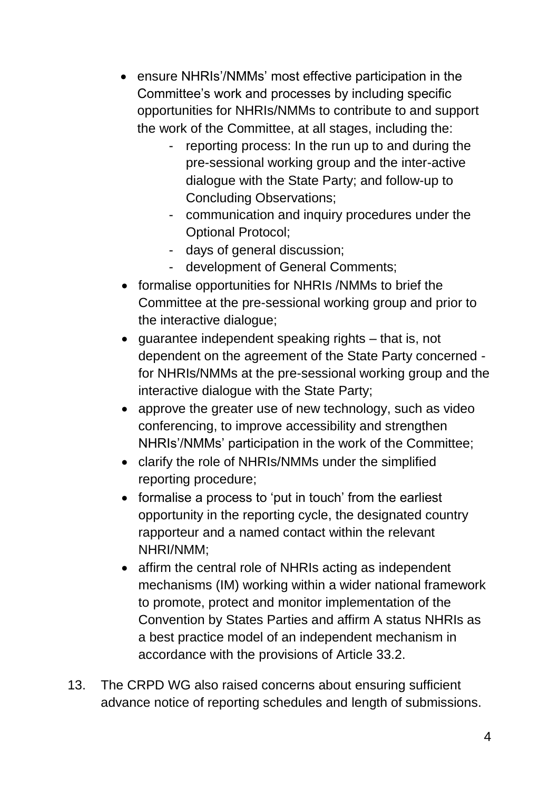- ensure NHRIs'/NMMs' most effective participation in the Committee's work and processes by including specific opportunities for NHRIs/NMMs to contribute to and support the work of the Committee, at all stages, including the:
	- reporting process: In the run up to and during the pre-sessional working group and the inter-active dialogue with the State Party; and follow-up to Concluding Observations;
	- communication and inquiry procedures under the Optional Protocol;
	- days of general discussion;
	- development of General Comments;
- formalise opportunities for NHRIs /NMMs to brief the Committee at the pre-sessional working group and prior to the interactive dialogue;
- $\bullet$  quarantee independent speaking rights that is, not dependent on the agreement of the State Party concerned for NHRIs/NMMs at the pre-sessional working group and the interactive dialogue with the State Party;
- approve the greater use of new technology, such as video conferencing, to improve accessibility and strengthen NHRIs'/NMMs' participation in the work of the Committee;
- clarify the role of NHRIs/NMMs under the simplified reporting procedure;
- formalise a process to 'put in touch' from the earliest opportunity in the reporting cycle, the designated country rapporteur and a named contact within the relevant NHRI/NMM;
- affirm the central role of NHRIs acting as independent mechanisms (IM) working within a wider national framework to promote, protect and monitor implementation of the Convention by States Parties and affirm A status NHRIs as a best practice model of an independent mechanism in accordance with the provisions of Article 33.2.
- 13. The CRPD WG also raised concerns about ensuring sufficient advance notice of reporting schedules and length of submissions.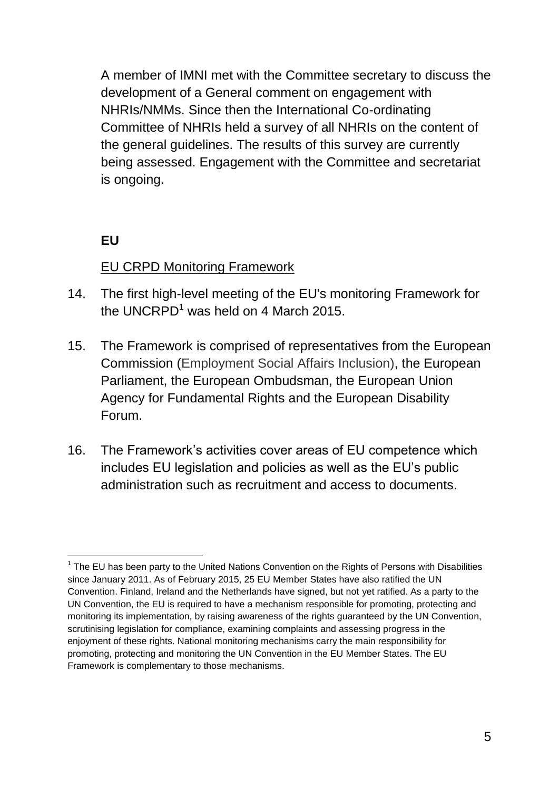A member of IMNI met with the Committee secretary to discuss the development of a General comment on engagement with NHRIs/NMMs. Since then the International Co-ordinating Committee of NHRIs held a survey of all NHRIs on the content of the general guidelines. The results of this survey are currently being assessed. Engagement with the Committee and secretariat is ongoing.

## **EU**

## EU CRPD Monitoring Framework

- 14. The first high-level meeting of the EU's monitoring Framework for the UNCRPD<sup>1</sup> was held on 4 March 2015.
- 15. The Framework is comprised of representatives from the European Commission (Employment Social Affairs Inclusion), the European Parliament, the European Ombudsman, the European Union Agency for Fundamental Rights and the European Disability Forum.
- 16. The Framework's activities cover areas of EU competence which includes EU legislation and policies as well as the EU's public administration such as recruitment and access to documents.

<sup>&</sup>lt;u>.</u>  $1$  The EU has been party to the United Nations Convention on the Rights of Persons with Disabilities since January 2011. As of February 2015, 25 EU Member States have also ratified the UN Convention. Finland, Ireland and the Netherlands have signed, but not yet ratified. As a party to the UN Convention, the EU is required to have a mechanism responsible for promoting, protecting and monitoring its implementation, by raising awareness of the rights guaranteed by the UN Convention, scrutinising legislation for compliance, examining complaints and assessing progress in the enjoyment of these rights. National monitoring mechanisms carry the main responsibility for promoting, protecting and monitoring the UN Convention in the EU Member States. The EU Framework is complementary to those mechanisms.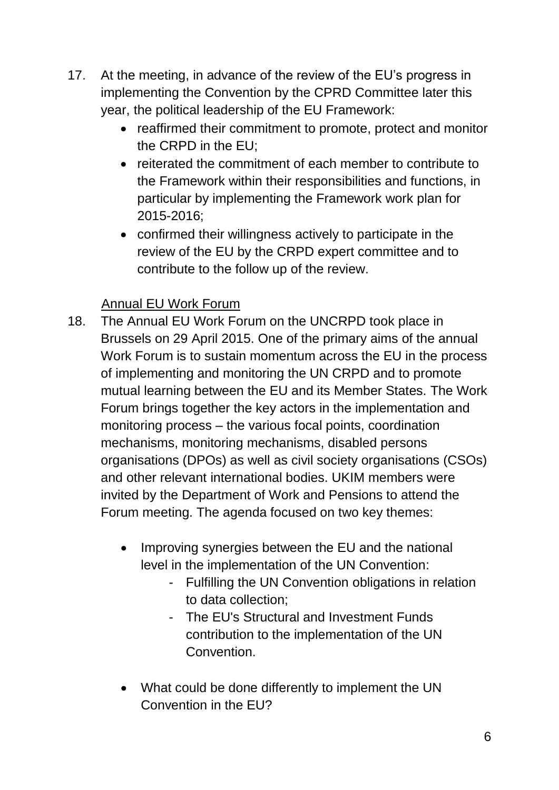- 17. At the meeting, in advance of the review of the EU's progress in implementing the Convention by the CPRD Committee later this year, the political leadership of the EU Framework:
	- reaffirmed their commitment to promote, protect and monitor the CRPD in the EU;
	- reiterated the commitment of each member to contribute to the Framework within their responsibilities and functions, in particular by implementing the Framework work plan for 2015-2016;
	- confirmed their willingness actively to participate in the review of the EU by the CRPD expert committee and to contribute to the follow up of the review.

## Annual EU Work Forum

- 18. The Annual EU Work Forum on the UNCRPD took place in Brussels on 29 April 2015. One of the primary aims of the annual Work Forum is to sustain momentum across the EU in the process of implementing and monitoring the UN CRPD and to promote mutual learning between the EU and its Member States. The Work Forum brings together the key actors in the implementation and monitoring process – the various focal points, coordination mechanisms, monitoring mechanisms, disabled persons organisations (DPOs) as well as civil society organisations (CSOs) and other relevant international bodies. UKIM members were invited by the Department of Work and Pensions to attend the Forum meeting. The agenda focused on two key themes:
	- Improving synergies between the EU and the national level in the implementation of the UN Convention:
		- Fulfilling the UN Convention obligations in relation to data collection;
		- The EU's Structural and Investment Funds contribution to the implementation of the UN Convention.
	- What could be done differently to implement the UN Convention in the EU?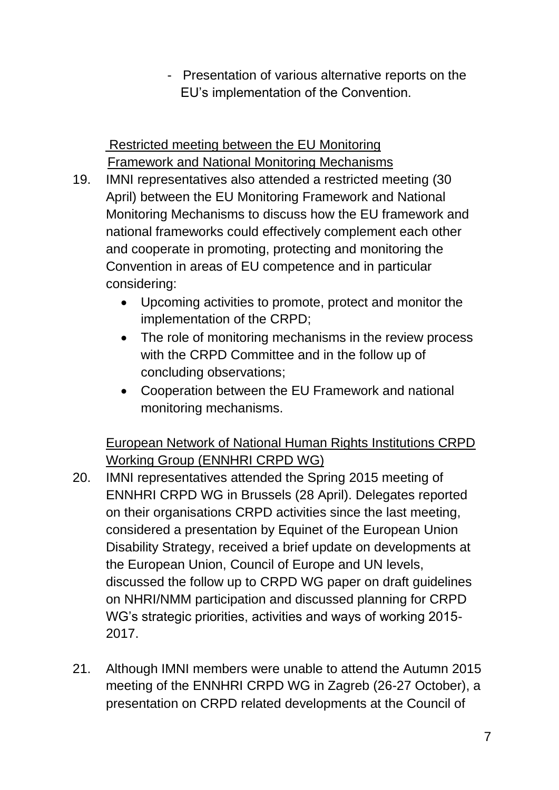- Presentation of various alternative reports on the EU's implementation of the Convention.

Restricted meeting between the EU Monitoring Framework and National Monitoring Mechanisms

- 19. IMNI representatives also attended a restricted meeting (30 April) between the EU Monitoring Framework and National Monitoring Mechanisms to discuss how the EU framework and national frameworks could effectively complement each other and cooperate in promoting, protecting and monitoring the Convention in areas of EU competence and in particular considering:
	- Upcoming activities to promote, protect and monitor the implementation of the CRPD;
	- The role of monitoring mechanisms in the review process with the CRPD Committee and in the follow up of concluding observations;
	- Cooperation between the EU Framework and national monitoring mechanisms.

European Network of National Human Rights Institutions CRPD Working Group (ENNHRI CRPD WG)

- 20. IMNI representatives attended the Spring 2015 meeting of ENNHRI CRPD WG in Brussels (28 April). Delegates reported on their organisations CRPD activities since the last meeting, considered a presentation by Equinet of the European Union Disability Strategy, received a brief update on developments at the European Union, Council of Europe and UN levels, discussed the follow up to CRPD WG paper on draft guidelines on NHRI/NMM participation and discussed planning for CRPD WG's strategic priorities, activities and ways of working 2015- 2017.
- 21. Although IMNI members were unable to attend the Autumn 2015 meeting of the ENNHRI CRPD WG in Zagreb (26-27 October), a presentation on CRPD related developments at the Council of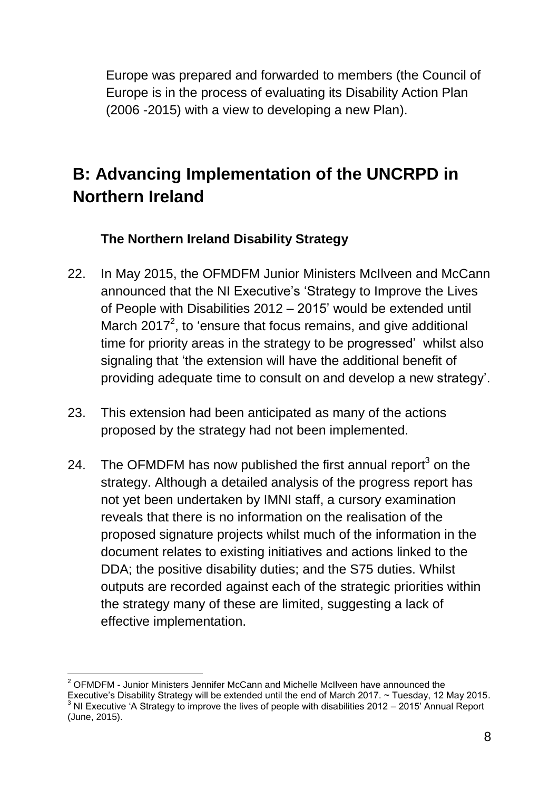Europe was prepared and forwarded to members (the Council of Europe is in the process of evaluating its Disability Action Plan (2006 -2015) with a view to developing a new Plan).

# **B: Advancing Implementation of the UNCRPD in Northern Ireland**

## **The Northern Ireland Disability Strategy**

- 22. In May 2015, the OFMDFM Junior Ministers McIlveen and McCann announced that the NI Executive's 'Strategy to Improve the Lives of People with Disabilities 2012 – 2015' would be extended until March 2017<sup>2</sup>, to 'ensure that focus remains, and give additional time for priority areas in the strategy to be progressed' whilst also signaling that 'the extension will have the additional benefit of providing adequate time to consult on and develop a new strategy'.
- 23. This extension had been anticipated as many of the actions proposed by the strategy had not been implemented.
- 24. The OFMDFM has now published the first annual report<sup>3</sup> on the strategy. Although a detailed analysis of the progress report has not yet been undertaken by IMNI staff, a cursory examination reveals that there is no information on the realisation of the proposed signature projects whilst much of the information in the document relates to existing initiatives and actions linked to the DDA; the positive disability duties; and the S75 duties. Whilst outputs are recorded against each of the strategic priorities within the strategy many of these are limited, suggesting a lack of effective implementation.

<sup>1</sup>  $2$  OFMDFM - Junior Ministers Jennifer McCann and Michelle McIlveen have announced the Executive's Disability Strategy will be extended until the end of March 2017. ~ Tuesday, 12 May 2015.  $3$  NI Executive 'A Strategy to improve the lives of people with disabilities 2012 – 2015' Annual Report (June, 2015).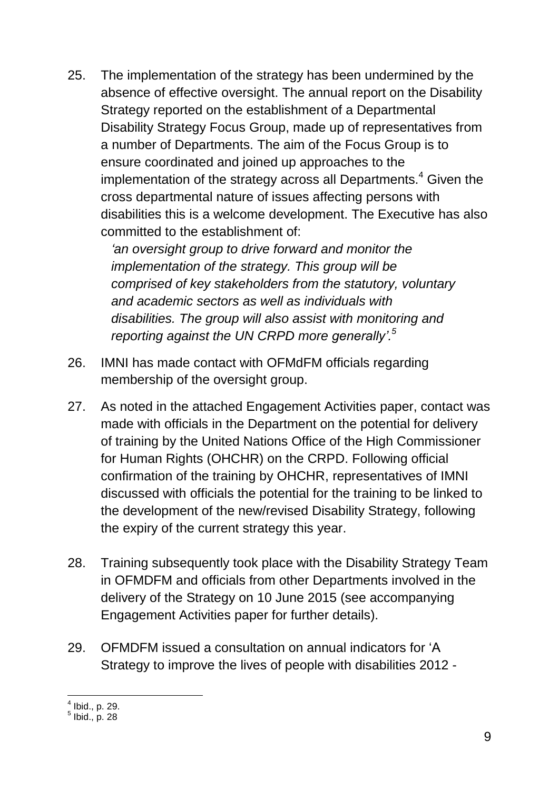25. The implementation of the strategy has been undermined by the absence of effective oversight. The annual report on the Disability Strategy reported on the establishment of a Departmental Disability Strategy Focus Group, made up of representatives from a number of Departments. The aim of the Focus Group is to ensure coordinated and joined up approaches to the implementation of the strategy across all Departments.<sup>4</sup> Given the cross departmental nature of issues affecting persons with disabilities this is a welcome development. The Executive has also committed to the establishment of:

> *'an oversight group to drive forward and monitor the implementation of the strategy. This group will be comprised of key stakeholders from the statutory, voluntary and academic sectors as well as individuals with disabilities. The group will also assist with monitoring and reporting against the UN CRPD more generally'.<sup>5</sup>*

- 26. IMNI has made contact with OFMdFM officials regarding membership of the oversight group.
- 27. As noted in the attached Engagement Activities paper, contact was made with officials in the Department on the potential for delivery of training by the United Nations Office of the High Commissioner for Human Rights (OHCHR) on the CRPD. Following official confirmation of the training by OHCHR, representatives of IMNI discussed with officials the potential for the training to be linked to the development of the new/revised Disability Strategy, following the expiry of the current strategy this year.
- 28. Training subsequently took place with the Disability Strategy Team in OFMDFM and officials from other Departments involved in the delivery of the Strategy on 10 June 2015 (see accompanying Engagement Activities paper for further details).
- 29. OFMDFM issued a consultation on annual indicators for 'A Strategy to improve the lives of people with disabilities 2012 -

 4 Ibid., p. 29. 5 Ibid., p. 28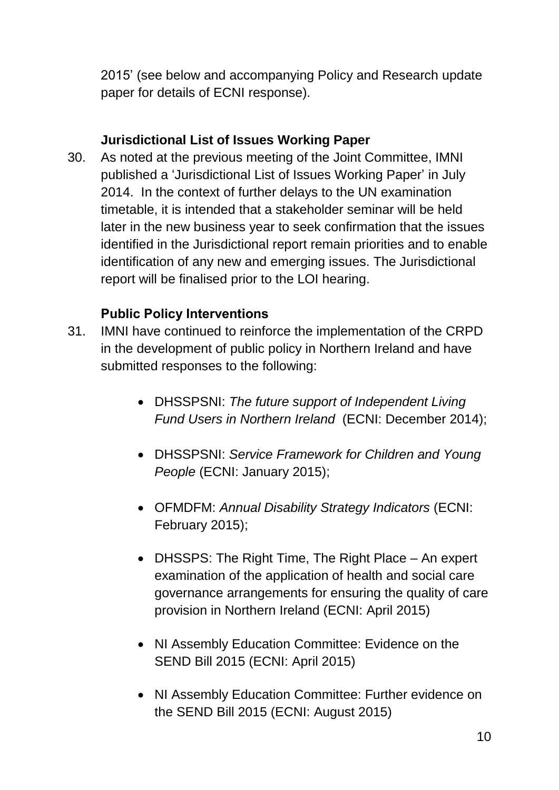2015' (see below and accompanying Policy and Research update paper for details of ECNI response).

## **Jurisdictional List of Issues Working Paper**

30. As noted at the previous meeting of the Joint Committee, IMNI published a 'Jurisdictional List of Issues Working Paper' in July 2014. In the context of further delays to the UN examination timetable, it is intended that a stakeholder seminar will be held later in the new business year to seek confirmation that the issues identified in the Jurisdictional report remain priorities and to enable identification of any new and emerging issues. The Jurisdictional report will be finalised prior to the LOI hearing.

## **Public Policy Interventions**

- 31. IMNI have continued to reinforce the implementation of the CRPD in the development of public policy in Northern Ireland and have submitted responses to the following:
	- DHSSPSNI: *The future support of Independent Living Fund Users in Northern Ireland* (ECNI: December 2014);
	- DHSSPSNI: *Service Framework for Children and Young People* (ECNI: January 2015);
	- OFMDFM: *Annual Disability Strategy Indicators* (ECNI: February 2015);
	- DHSSPS: The Right Time, The Right Place An expert examination of the application of health and social care governance arrangements for ensuring the quality of care provision in Northern Ireland (ECNI: April 2015)
	- NI Assembly Education Committee: Evidence on the SEND Bill 2015 (ECNI: April 2015)
	- NI Assembly Education Committee: Further evidence on the SEND Bill 2015 (ECNI: August 2015)